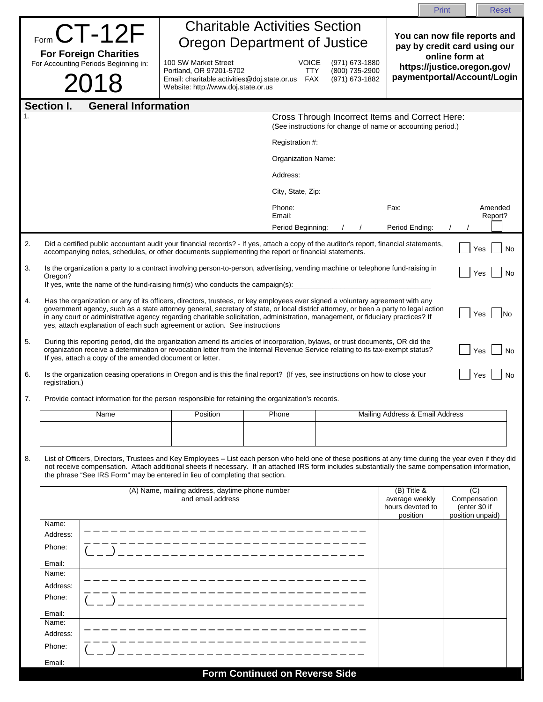|    |                                                                                                                                                                                                                                                                                                                                                                                                                                                                                                      |                                                                                         |                                       |                                                                                                                |                                                              | Print<br><b>Reset</b>                             |
|----|------------------------------------------------------------------------------------------------------------------------------------------------------------------------------------------------------------------------------------------------------------------------------------------------------------------------------------------------------------------------------------------------------------------------------------------------------------------------------------------------------|-----------------------------------------------------------------------------------------|---------------------------------------|----------------------------------------------------------------------------------------------------------------|--------------------------------------------------------------|---------------------------------------------------|
|    |                                                                                                                                                                                                                                                                                                                                                                                                                                                                                                      |                                                                                         | <b>Charitable Activities Section</b>  |                                                                                                                |                                                              |                                                   |
|    | $F_{\text{form}}$ CT-12F<br>Oregon Department of Justice                                                                                                                                                                                                                                                                                                                                                                                                                                             |                                                                                         |                                       |                                                                                                                | You can now file reports and<br>pay by credit card using our |                                                   |
|    | <b>For Foreign Charities</b>                                                                                                                                                                                                                                                                                                                                                                                                                                                                         |                                                                                         |                                       |                                                                                                                |                                                              | online form at                                    |
|    | For Accounting Periods Beginning in:                                                                                                                                                                                                                                                                                                                                                                                                                                                                 | 100 SW Market Street<br>Portland, OR 97201-5702                                         | <b>VOICE</b><br>TTY                   | (971) 673-1880<br>(800) 735-2900                                                                               |                                                              | https://justice.oregon.gov/                       |
|    | 2018                                                                                                                                                                                                                                                                                                                                                                                                                                                                                                 | Email: charitable.activities@doj.state.or.us FAX<br>Website: http://www.doj.state.or.us |                                       | (971) 673-1882                                                                                                 |                                                              | paymentportal/Account/Login                       |
|    | <b>General Information</b><br><b>Section I.</b>                                                                                                                                                                                                                                                                                                                                                                                                                                                      |                                                                                         |                                       |                                                                                                                |                                                              |                                                   |
|    |                                                                                                                                                                                                                                                                                                                                                                                                                                                                                                      |                                                                                         |                                       | Cross Through Incorrect Items and Correct Here:<br>(See instructions for change of name or accounting period.) |                                                              |                                                   |
|    |                                                                                                                                                                                                                                                                                                                                                                                                                                                                                                      |                                                                                         | Registration #:                       |                                                                                                                |                                                              |                                                   |
|    |                                                                                                                                                                                                                                                                                                                                                                                                                                                                                                      |                                                                                         | Organization Name:                    |                                                                                                                |                                                              |                                                   |
|    |                                                                                                                                                                                                                                                                                                                                                                                                                                                                                                      |                                                                                         | Address:                              |                                                                                                                |                                                              |                                                   |
|    |                                                                                                                                                                                                                                                                                                                                                                                                                                                                                                      |                                                                                         | City, State, Zip:                     |                                                                                                                |                                                              |                                                   |
|    |                                                                                                                                                                                                                                                                                                                                                                                                                                                                                                      |                                                                                         | Phone:<br>Email:                      |                                                                                                                | Fax:                                                         | Amended                                           |
|    |                                                                                                                                                                                                                                                                                                                                                                                                                                                                                                      |                                                                                         | Period Beginning:                     |                                                                                                                | Period Ending:                                               | Report?                                           |
| 2. | Did a certified public accountant audit your financial records? - If yes, attach a copy of the auditor's report, financial statements,<br>accompanying notes, schedules, or other documents supplementing the report or financial statements.                                                                                                                                                                                                                                                        |                                                                                         |                                       |                                                                                                                |                                                              | Yes<br>No                                         |
| 3. | Is the organization a party to a contract involving person-to-person, advertising, vending machine or telephone fund-raising in                                                                                                                                                                                                                                                                                                                                                                      |                                                                                         |                                       |                                                                                                                |                                                              | Yes<br>No                                         |
|    | Oregon?<br>If yes, write the name of the fund-raising firm(s) who conducts the campaign(s):                                                                                                                                                                                                                                                                                                                                                                                                          |                                                                                         |                                       |                                                                                                                |                                                              |                                                   |
| 4. | Has the organization or any of its officers, directors, trustees, or key employees ever signed a voluntary agreement with any<br>government agency, such as a state attorney general, secretary of state, or local district attorney, or been a party to legal action<br>Yes<br>lNo<br>in any court or administrative agency regarding charitable solicitation, administration, management, or fiduciary practices? If<br>yes, attach explanation of each such agreement or action. See instructions |                                                                                         |                                       |                                                                                                                |                                                              |                                                   |
| 5. | During this reporting period, did the organization amend its articles of incorporation, bylaws, or trust documents, OR did the<br>organization receive a determination or revocation letter from the Internal Revenue Service relating to its tax-exempt status?<br>Yes<br>No<br>If yes, attach a copy of the amended document or letter.                                                                                                                                                            |                                                                                         |                                       |                                                                                                                |                                                              |                                                   |
| 6. | Is the organization ceasing operations in Oregon and is this the final report? (If yes, see instructions on how to close your<br>registration.)                                                                                                                                                                                                                                                                                                                                                      |                                                                                         |                                       |                                                                                                                |                                                              | Yes<br>No                                         |
|    | Provide contact information for the person responsible for retaining the organization's records.                                                                                                                                                                                                                                                                                                                                                                                                     |                                                                                         |                                       |                                                                                                                |                                                              |                                                   |
|    | Name                                                                                                                                                                                                                                                                                                                                                                                                                                                                                                 | Position                                                                                | Phone                                 |                                                                                                                | Mailing Address & Email Address                              |                                                   |
|    |                                                                                                                                                                                                                                                                                                                                                                                                                                                                                                      |                                                                                         |                                       |                                                                                                                |                                                              |                                                   |
|    |                                                                                                                                                                                                                                                                                                                                                                                                                                                                                                      |                                                                                         |                                       |                                                                                                                |                                                              |                                                   |
| 8. | List of Officers, Directors, Trustees and Key Employees - List each person who held one of these positions at any time during the year even if they did<br>not receive compensation. Attach additional sheets if necessary. If an attached IRS form includes substantially the same compensation information,<br>the phrase "See IRS Form" may be entered in lieu of completing that section.<br>(A) Name, mailing address, daytime phone number<br>(B) Title &<br>(C)                               |                                                                                         |                                       |                                                                                                                |                                                              |                                                   |
|    |                                                                                                                                                                                                                                                                                                                                                                                                                                                                                                      | and email address                                                                       |                                       |                                                                                                                | average weekly<br>hours devoted to<br>position               | Compensation<br>(enter \$0 if<br>position unpaid) |
|    | Name:<br>Address:                                                                                                                                                                                                                                                                                                                                                                                                                                                                                    |                                                                                         |                                       |                                                                                                                |                                                              |                                                   |
|    | Phone:                                                                                                                                                                                                                                                                                                                                                                                                                                                                                               |                                                                                         |                                       |                                                                                                                |                                                              |                                                   |
|    | Email:                                                                                                                                                                                                                                                                                                                                                                                                                                                                                               |                                                                                         |                                       |                                                                                                                |                                                              |                                                   |
|    | Name:                                                                                                                                                                                                                                                                                                                                                                                                                                                                                                |                                                                                         |                                       |                                                                                                                |                                                              |                                                   |
|    | Address:                                                                                                                                                                                                                                                                                                                                                                                                                                                                                             |                                                                                         |                                       |                                                                                                                |                                                              |                                                   |
|    | Phone:                                                                                                                                                                                                                                                                                                                                                                                                                                                                                               |                                                                                         |                                       |                                                                                                                |                                                              |                                                   |
|    | Email:                                                                                                                                                                                                                                                                                                                                                                                                                                                                                               |                                                                                         |                                       |                                                                                                                |                                                              |                                                   |
|    | Name:                                                                                                                                                                                                                                                                                                                                                                                                                                                                                                |                                                                                         |                                       |                                                                                                                |                                                              |                                                   |
|    | Address:                                                                                                                                                                                                                                                                                                                                                                                                                                                                                             |                                                                                         |                                       |                                                                                                                |                                                              |                                                   |
|    | Phone:                                                                                                                                                                                                                                                                                                                                                                                                                                                                                               |                                                                                         |                                       |                                                                                                                |                                                              |                                                   |
|    | Email:                                                                                                                                                                                                                                                                                                                                                                                                                                                                                               |                                                                                         |                                       |                                                                                                                |                                                              |                                                   |
|    |                                                                                                                                                                                                                                                                                                                                                                                                                                                                                                      |                                                                                         | <b>Form Continued on Reverse Side</b> |                                                                                                                |                                                              |                                                   |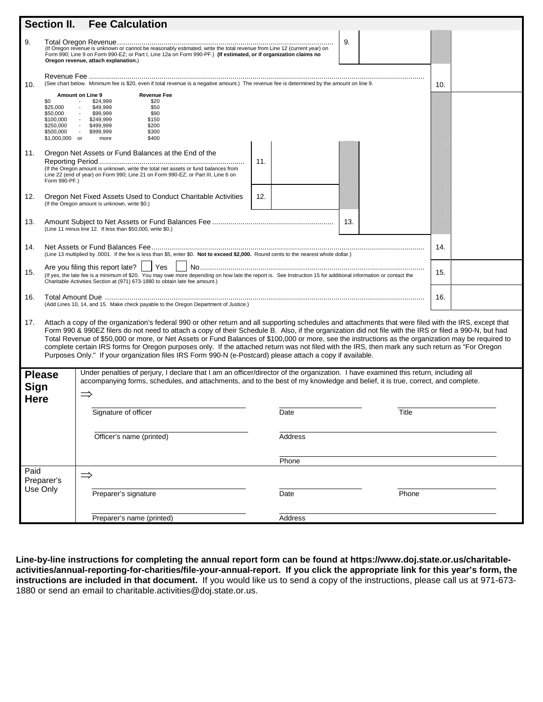|                                                                                                                                                                                                                                                                                                                                                                                                                                                                                                                                                                                                                                                                                                                                                  | Section II.                                                                                                                                                                                                                                             | <b>Fee Calculation</b>                                                                                                                                                                                                                                                                     |                |       |     |  |  |
|--------------------------------------------------------------------------------------------------------------------------------------------------------------------------------------------------------------------------------------------------------------------------------------------------------------------------------------------------------------------------------------------------------------------------------------------------------------------------------------------------------------------------------------------------------------------------------------------------------------------------------------------------------------------------------------------------------------------------------------------------|---------------------------------------------------------------------------------------------------------------------------------------------------------------------------------------------------------------------------------------------------------|--------------------------------------------------------------------------------------------------------------------------------------------------------------------------------------------------------------------------------------------------------------------------------------------|----------------|-------|-----|--|--|
| 9.                                                                                                                                                                                                                                                                                                                                                                                                                                                                                                                                                                                                                                                                                                                                               |                                                                                                                                                                                                                                                         | 9.<br>(If Oregon revenue is unknown or cannot be reasonably estimated, write the total revenue from Line 12 (current year) on<br>Form 990; Line 9 on Form 990-EZ; or Part I, Line 12a on Form 990-PF.) (If estimated, or if organization claims no<br>Oregon revenue, attach explanation.) |                |       |     |  |  |
| 10.                                                                                                                                                                                                                                                                                                                                                                                                                                                                                                                                                                                                                                                                                                                                              |                                                                                                                                                                                                                                                         | (See chart below. Minimum fee is \$20, even if total revenue is a negative amount.) The revenue fee is determined by the amount on line 9.<br>10.                                                                                                                                          |                |       |     |  |  |
|                                                                                                                                                                                                                                                                                                                                                                                                                                                                                                                                                                                                                                                                                                                                                  | \$0<br>\$25,000<br>\$50,000<br>\$100,000<br>\$250,000<br>\$500,000<br>\$1,000,000 or                                                                                                                                                                    | Amount on Line 9<br><b>Revenue Fee</b><br>\$20<br>\$24,999<br>\$49,999<br>\$50<br>\$90<br>\$99,999<br>\$249,999<br>\$150<br>\$200<br>\$499,999<br>$\sim 10^{-11}$<br>$\sim 10^{-11}$<br>\$999,999<br>\$300<br>\$400<br>more                                                                |                |       |     |  |  |
| 11.                                                                                                                                                                                                                                                                                                                                                                                                                                                                                                                                                                                                                                                                                                                                              | Oregon Net Assets or Fund Balances at the End of the<br>11.<br>(If the Oregon amount is unknown, write the total net assets or fund balances from<br>Line 22 (end of year) on Form 990; Line 21 on Form 990-EZ; or Part III, Line 6 on<br>Form 990-PF.) |                                                                                                                                                                                                                                                                                            |                |       |     |  |  |
| 12.                                                                                                                                                                                                                                                                                                                                                                                                                                                                                                                                                                                                                                                                                                                                              |                                                                                                                                                                                                                                                         | Oregon Net Fixed Assets Used to Conduct Charitable Activities<br>(If the Oregon amount is unknown, write \$0.)                                                                                                                                                                             | 12.            |       |     |  |  |
| 13.                                                                                                                                                                                                                                                                                                                                                                                                                                                                                                                                                                                                                                                                                                                                              | 13.<br>(Line 11 minus line 12. If less than \$50,000, write \$0.)                                                                                                                                                                                       |                                                                                                                                                                                                                                                                                            |                |       |     |  |  |
| 14.                                                                                                                                                                                                                                                                                                                                                                                                                                                                                                                                                                                                                                                                                                                                              | 14.<br>(Line 13 multiplied by .0001. If the fee is less than \$5, enter \$0. Not to exceed \$2,000. Round cents to the nearest whole dollar.)                                                                                                           |                                                                                                                                                                                                                                                                                            |                |       |     |  |  |
| 15.                                                                                                                                                                                                                                                                                                                                                                                                                                                                                                                                                                                                                                                                                                                                              |                                                                                                                                                                                                                                                         | Yes<br>Are you filing this report late?  <br>(If yes, the late fee is a minimum of \$20. You may owe more depending on how late the report is. See Instruction 15 for additional information or contact the<br>Charitable Activities Section at (971) 673-1880 to obtain late fee amount.) |                |       | 15. |  |  |
| 16.                                                                                                                                                                                                                                                                                                                                                                                                                                                                                                                                                                                                                                                                                                                                              |                                                                                                                                                                                                                                                         | 16.<br>(Add Lines 10, 14, and 15. Make check payable to the Oregon Department of Justice.)                                                                                                                                                                                                 |                |       |     |  |  |
| Attach a copy of the organization's federal 990 or other return and all supporting schedules and attachments that were filed with the IRS, except that<br>17.<br>Form 990 & 990EZ filers do not need to attach a copy of their Schedule B. Also, if the organization did not file with the IRS or filed a 990-N, but had<br>Total Revenue of \$50,000 or more, or Net Assets or Fund Balances of \$100,000 or more, see the instructions as the organization may be required to<br>complete certain IRS forms for Oregon purposes only. If the attached return was not filed with the IRS, then mark any such return as "For Oregon<br>Purposes Only." If your organization files IRS Form 990-N (e-Postcard) please attach a copy if available. |                                                                                                                                                                                                                                                         |                                                                                                                                                                                                                                                                                            |                |       |     |  |  |
| Under penalties of perjury, I declare that I am an officer/director of the organization. I have examined this return, including all<br><b>Please</b><br>accompanying forms, schedules, and attachments, and to the best of my knowledge and belief, it is true, correct, and complete.<br><b>Sign</b><br><b>Here</b>                                                                                                                                                                                                                                                                                                                                                                                                                             |                                                                                                                                                                                                                                                         |                                                                                                                                                                                                                                                                                            |                |       |     |  |  |
|                                                                                                                                                                                                                                                                                                                                                                                                                                                                                                                                                                                                                                                                                                                                                  |                                                                                                                                                                                                                                                         | Signature of officer                                                                                                                                                                                                                                                                       | Date           | Title |     |  |  |
|                                                                                                                                                                                                                                                                                                                                                                                                                                                                                                                                                                                                                                                                                                                                                  |                                                                                                                                                                                                                                                         | Officer's name (printed)                                                                                                                                                                                                                                                                   | Address        |       |     |  |  |
| Paid<br>Preparer's<br>Use Only                                                                                                                                                                                                                                                                                                                                                                                                                                                                                                                                                                                                                                                                                                                   |                                                                                                                                                                                                                                                         |                                                                                                                                                                                                                                                                                            | Phone          |       |     |  |  |
|                                                                                                                                                                                                                                                                                                                                                                                                                                                                                                                                                                                                                                                                                                                                                  |                                                                                                                                                                                                                                                         | $\Rightarrow$<br>Preparer's signature                                                                                                                                                                                                                                                      | Date           | Phone |     |  |  |
|                                                                                                                                                                                                                                                                                                                                                                                                                                                                                                                                                                                                                                                                                                                                                  |                                                                                                                                                                                                                                                         | Preparer's name (printed)                                                                                                                                                                                                                                                                  | <b>Address</b> |       |     |  |  |

**Line-by-line instructions for completing the annual report form can be found at https://www.doj.state.or.us/charitableactivities/annual-reporting-for-charities/file-your-annual-report. If you click the appropriate link for this year's form, the instructions are included in that document.** If you would like us to send a copy of the instructions, please call us at 971-673- 1880 or send an email to charitable.activities@doj.state.or.us.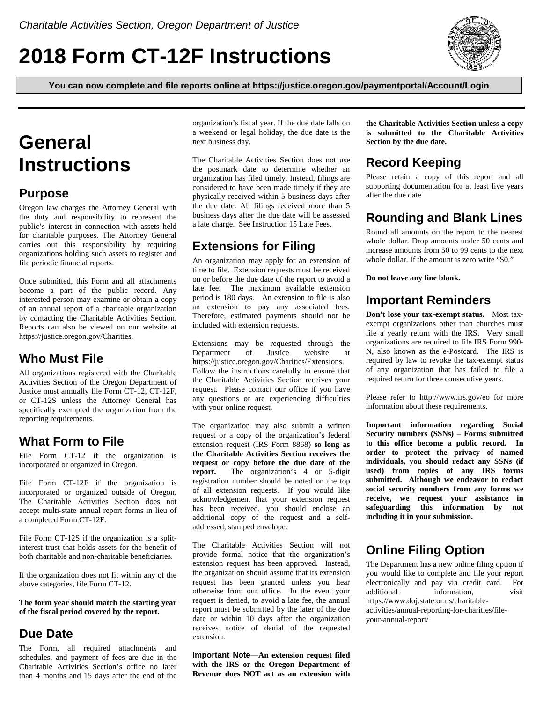# **2018 Form CT-12F Instructions**



**You can now complete and file reports online at https://justice.oregon.gov/paymentportal/Account/Login**

# **General Instructions**

### **Purpose**

Oregon law charges the Attorney General with the duty and responsibility to represent the public's interest in connection with assets held for charitable purposes. The Attorney General carries out this responsibility by requiring organizations holding such assets to register and file periodic financial reports.

Once submitted, this Form and all attachments become a part of the public record. Any interested person may examine or obtain a copy of an annual report of a charitable organization by contacting the Charitable Activities Section. Reports can also be viewed on our website at https://justice.oregon.gov/Charities.

### **Who Must File**

All organizations registered with the Charitable Activities Section of the Oregon Department of Justice must annually file Form CT-12, CT-12F, or CT-12S unless the Attorney General has specifically exempted the organization from the reporting requirements.

### **What Form to File**

File Form CT-12 if the organization is incorporated or organized in Oregon.

File Form CT-12F if the organization is incorporated or organized outside of Oregon. The Charitable Activities Section does not accept multi-state annual report forms in lieu of a completed Form CT-12F.

File Form CT-12S if the organization is a splitinterest trust that holds assets for the benefit of both charitable and non-charitable beneficiaries.

If the organization does not fit within any of the above categories, file Form CT-12.

**The form year should match the starting year of the fiscal period covered by the report.**

### **Due Date**

The Form, all required attachments and schedules, and payment of fees are due in the Charitable Activities Section's office no later than 4 months and 15 days after the end of the organization's fiscal year. If the due date falls on a weekend or legal holiday, the due date is the next business day.

The Charitable Activities Section does not use the postmark date to determine whether an organization has filed timely. Instead, filings are considered to have been made timely if they are physically received within 5 business days after the due date. All filings received more than 5 business days after the due date will be assessed a late charge. See Instruction 15 Late Fees.

### **Extensions for Filing**

An organization may apply for an extension of time to file. Extension requests must be received on or before the due date of the report to avoid a late fee. The maximum available extension period is 180 days. An extension to file is also an extension to pay any associated fees. Therefore, estimated payments should not be included with extension requests.

Extensions may be requested through the Department of Justice website at https://justice.oregon.gov/Charities/Extensions. Follow the instructions carefully to ensure that the Charitable Activities Section receives your request. Please contact our office if you have any questions or are experiencing difficulties with your online request.

The organization may also submit a written request or a copy of the organization's federal extension request (IRS Form 8868) **so long as the Charitable Activities Section receives the request or copy before the due date of the report.** The organization's 4 or 5-digit registration number should be noted on the top of all extension requests. If you would like acknowledgement that your extension request has been received, you should enclose an additional copy of the request and a selfaddressed, stamped envelope.

The Charitable Activities Section will not provide formal notice that the organization's extension request has been approved. Instead, the organization should assume that its extension request has been granted unless you hear otherwise from our office. In the event your request is denied, to avoid a late fee, the annual report must be submitted by the later of the due date or within 10 days after the organization receives notice of denial of the requested extension.

**Important Note**—**An extension request filed with the IRS or the Oregon Department of Revenue does NOT act as an extension with** **the Charitable Activities Section unless a copy is submitted to the Charitable Activities Section by the due date.**

## **Record Keeping**

Please retain a copy of this report and all supporting documentation for at least five years after the due date.

# **Rounding and Blank Lines**

Round all amounts on the report to the nearest whole dollar. Drop amounts under 50 cents and increase amounts from 50 to 99 cents to the next whole dollar. If the amount is zero write "\$0."

**Do not leave any line blank.**

### **Important Reminders**

**Don't lose your tax-exempt status.** Most taxexempt organizations other than churches must file a yearly return with the IRS. Very small organizations are required to file IRS Form 990- N, also known as the e-Postcard. The IRS is required by law to revoke the tax-exempt status of any organization that has failed to file a required return for three consecutive years.

Please refer to http://www.irs.gov/eo for more information about these requirements.

**Important information regarding Social Security numbers (SSNs)** – **Forms submitted to this office become a public record. In order to protect the privacy of named individuals, you should redact any SSNs (if used) from copies of any IRS forms submitted. Although we endeavor to redact social security numbers from any forms we receive, we request your assistance in safeguarding this information by not including it in your submission.**

## **Online Filing Option**

The Department has a new online filing option if you would like to complete and file your report electronically and pay via credit card. For additional information, visit https://www.doj.state.or.us/charitableactivities/annual-reporting-for-charities/fileyour-annual-report/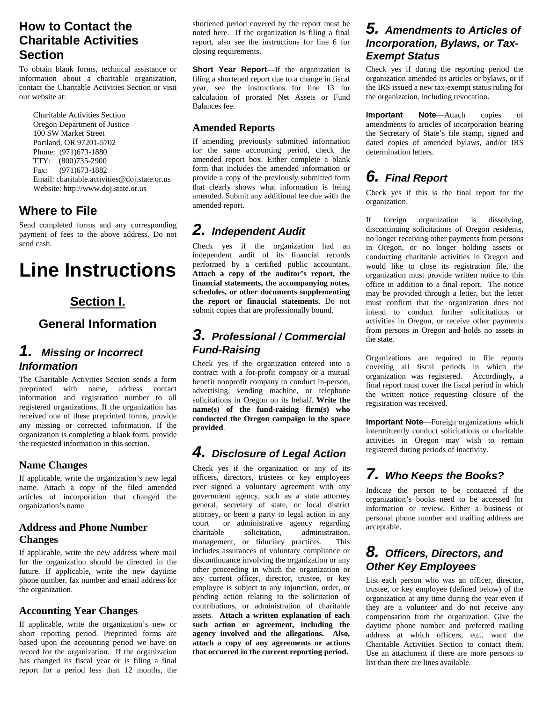### **How to Contact the Charitable Activities Section**

To obtain blank forms, technical assistance or information about a charitable organization, contact the Charitable Activities Section or visit our website at:

Charitable Activities Section Oregon Department of Justice 100 SW Market Street Portland, OR 97201-5702 Phone: (971)673-1880 TTY: (800)735-2900 Fax: (971)673-1882 Email: charitable.activities@doj.state.or.us Website: http://www.doj.state.or.us

### **Where to File**

Send completed forms and any corresponding payment of fees to the above address. Do not send cash.

# **Line Instructions**

### **Section I.**

## **General Information**

### *1. Missing or Incorrect Information*

The Charitable Activities Section sends a form preprinted with name, address contact information and registration number to all registered organizations. If the organization has received one of these preprinted forms, provide any missing or corrected information. If the organization is completing a blank form, provide the requested information in this section.

#### **Name Changes**

If applicable, write the organization's new legal name. Attach a copy of the filed amended articles of incorporation that changed the organization's name.

#### **Address and Phone Number Changes**

If applicable, write the new address where mail for the organization should be directed in the future. If applicable, write the new daytime phone number, fax number and email address for the organization.

#### **Accounting Year Changes**

If applicable, write the organization's new or short reporting period. Preprinted forms are based upon the accounting period we have on record for the organization. If the organization has changed its fiscal year or is filing a final report for a period less than 12 months, the

shortened period covered by the report must be noted here. If the organization is filing a final report, also see the instructions for line 6 for closing requirements.

**Short Year Report**—If the organization is filing a shortened report due to a change in fiscal year, see the instructions for line 13 for calculation of prorated Net Assets or Fund Balances fee.

#### **Amended Reports**

If amending previously submitted information for the same accounting period, check the amended report box. Either complete a blank form that includes the amended information or provide a copy of the previously submitted form that clearly shows what information is being amended. Submit any additional fee due with the amended report.

## *2. Independent Audit*

Check yes if the organization had an independent audit of its financial records performed by a certified public accountant. **Attach a copy of the auditor's report, the financial statements, the accompanying notes, schedules, or other documents supplementing the report or financial statements.** Do not submit copies that are professionally bound.

### *3. Professional / Commercial Fund-Raising*

Check yes if the organization entered into a contract with a for-profit company or a mutual benefit nonprofit company to conduct in-person, advertising, vending machine, or telephone solicitations in Oregon on its behalf. **Write the name(s) of the fund-raising firm(s) who conducted the Oregon campaign in the space provided**.

## *4. Disclosure of Legal Action*

Check yes if the organization or any of its officers, directors, trustees or key employees ever signed a voluntary agreement with any government agency, such as a state attorney general, secretary of state, or local district attorney, or been a party to legal action in any court or administrative agency regarding charitable solicitation, administration, management, or fiduciary practices. This includes assurances of voluntary compliance or discontinuance involving the organization or any other proceeding in which the organization or any current officer, director, trustee, or key employee is subject to any injunction, order, or pending action relating to the solicitation of contributions, or administration of charitable assets. **Attach a written explanation of each such action or agreement, including the agency involved and the allegations. Also, attach a copy of any agreements or actions that occurred in the current reporting period.**

### *5. Amendments to Articles of Incorporation, Bylaws, or Tax-Exempt Status*

Check yes if during the reporting period the organization amended its articles or bylaws, or if the IRS issued a new tax-exempt status ruling for the organization, including revocation.

**Important Note**—Attach copies of amendments to articles of incorporation bearing the Secretary of State's file stamp, signed and dated copies of amended bylaws, and/or IRS determination letters.

# *6. Final Report*

Check yes if this is the final report for the organization.

If foreign organization is dissolving, discontinuing solicitations of Oregon residents, no longer receiving other payments from persons in Oregon, or no longer holding assets or conducting charitable activities in Oregon and would like to close its registration file, the organization must provide written notice to this office in addition to a final report. The notice may be provided through a letter, but the letter must confirm that the organization does not intend to conduct further solicitations or activities in Oregon, or receive other payments from persons in Oregon and holds no assets in the state.

Organizations are required to file reports covering all fiscal periods in which the organization was registered. Accordingly, a final report must cover the fiscal period in which the written notice requesting closure of the registration was received.

**Important Note**—Foreign organizations which intermittently conduct solicitations or charitable activities in Oregon may wish to remain registered during periods of inactivity.

# *7. Who Keeps the Books?*

Indicate the person to be contacted if the organization's books need to be accessed for information or review. Either a business or personal phone number and mailing address are acceptable.

### *8. Officers, Directors, and Other Key Employees*

List each person who was an officer, director, trustee, or key employee (defined below) of the organization at any time during the year even if they are a volunteer and do not receive any compensation from the organization. Give the daytime phone number and preferred mailing address at which officers, etc., want the Charitable Activities Section to contact them. Use an attachment if there are more persons to list than there are lines available.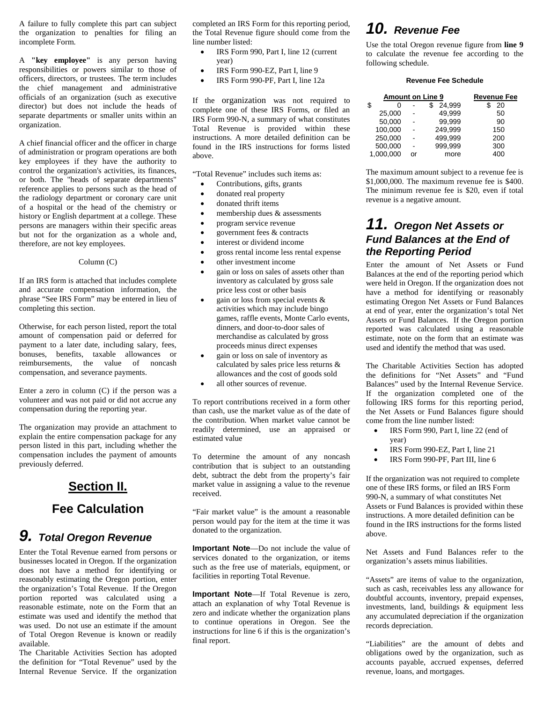A failure to fully complete this part can subject the organization to penalties for filing an incomplete Form.

A **"key employee"** is any person having responsibilities or powers similar to those of officers, directors, or trustees. The term includes the chief management and administrative officials of an organization (such as executive director) but does not include the heads of separate departments or smaller units within an organization.

A chief financial officer and the officer in charge of administration or program operations are both key employees if they have the authority to control the organization's activities, its finances, or both. The "heads of separate departments" reference applies to persons such as the head of the radiology department or coronary care unit of a hospital or the head of the chemistry or history or English department at a college. These persons are managers within their specific areas but not for the organization as a whole and, therefore, are not key employees.

#### Column (C)

If an IRS form is attached that includes complete and accurate compensation information, the phrase "See IRS Form" may be entered in lieu of completing this section.

Otherwise, for each person listed, report the total amount of compensation paid or deferred for payment to a later date, including salary, fees, bonuses, benefits, taxable allowances or reimbursements, the value of noncash compensation, and severance payments.

Enter a zero in column (C) if the person was a volunteer and was not paid or did not accrue any compensation during the reporting year.

The organization may provide an attachment to explain the entire compensation package for any person listed in this part, including whether the compensation includes the payment of amounts previously deferred.

### **Section II.**

### **Fee Calculation**

# *9. Total Oregon Revenue*

Enter the Total Revenue earned from persons or businesses located in Oregon. If the organization does not have a method for identifying or reasonably estimating the Oregon portion, enter the organization's Total Revenue. If the Oregon portion reported was calculated using a reasonable estimate, note on the Form that an estimate was used and identify the method that was used. Do not use an estimate if the amount of Total Oregon Revenue is known or readily available.

The Charitable Activities Section has adopted the definition for "Total Revenue" used by the Internal Revenue Service. If the organization completed an IRS Form for this reporting period, the Total Revenue figure should come from the line number listed:

- IRS Form 990, Part I, line 12 (current year)
- IRS Form 990-EZ, Part I, line 9
- IRS Form 990-PF, Part I, line 12a

If the organization was not required to complete one of these IRS Forms, or filed an IRS Form 990-N, a summary of what constitutes Total Revenue is provided within these instructions. A more detailed definition can be found in the IRS instructions for forms listed above.

"Total Revenue" includes such items as:

- Contributions, gifts, grants
- donated real property
- donated thrift items
- membership dues & assessments
- program service revenue
- government fees & contracts
- interest or dividend income
- gross rental income less rental expense
- other investment income
- gain or loss on sales of assets other than inventory as calculated by gross sale price less cost or other basis
- gain or loss from special events  $\&$ activities which may include bingo games, raffle events, Monte Carlo events, dinners, and door-to-door sales of merchandise as calculated by gross proceeds minus direct expenses
- gain or loss on sale of inventory as calculated by sales price less returns & allowances and the cost of goods sold
- all other sources of revenue.

To report contributions received in a form other than cash, use the market value as of the date of the contribution. When market value cannot be readily determined, use an appraised or estimated value

To determine the amount of any noncash contribution that is subject to an outstanding debt, subtract the debt from the property's fair market value in assigning a value to the revenue received.

"Fair market value" is the amount a reasonable person would pay for the item at the time it was donated to the organization.

**Important Note**—Do not include the value of services donated to the organization, or items such as the free use of materials, equipment, or facilities in reporting Total Revenue.

**Important Note**—If Total Revenue is zero, attach an explanation of why Total Revenue is zero and indicate whether the organization plans to continue operations in Oregon. See the instructions for line 6 if this is the organization's final report.

# *10. Revenue Fee*

Use the total Oregon revenue figure from **line 9** to calculate the revenue fee according to the following schedule.

#### **Revenue Fee Schedule**

| <b>Amount on Line 9</b> |    | <u>Revenue Fee</u> |     |
|-------------------------|----|--------------------|-----|
| \$                      |    | 24.999             | 20  |
| 25,000                  |    | 49.999             | 50  |
| 50,000                  |    | 99.999             | 90  |
| 100,000                 |    | 249.999            | 150 |
| 250,000                 |    | 499.999            | 200 |
| 500,000                 |    | 999.999            | 300 |
| 1.000.000               | or | more               | 4ሰሰ |

The maximum amount subject to a revenue fee is \$1,000,000. The maximum revenue fee is \$400. The minimum revenue fee is \$20, even if total revenue is a negative amount.

### *11. Oregon Net Assets or Fund Balances at the End of the Reporting Period*

Enter the amount of Net Assets or Fund Balances at the end of the reporting period which were held in Oregon. If the organization does not have a method for identifying or reasonably estimating Oregon Net Assets or Fund Balances at end of year, enter the organization's total Net Assets or Fund Balances. If the Oregon portion reported was calculated using a reasonable estimate, note on the form that an estimate was used and identify the method that was used.

The Charitable Activities Section has adopted the definitions for "Net Assets" and "Fund Balances" used by the Internal Revenue Service. If the organization completed one of the following IRS forms for this reporting period, the Net Assets or Fund Balances figure should come from the line number listed:

- IRS Form 990, Part I, line 22 (end of year)
- IRS Form 990-EZ, Part I, line 21
- IRS Form 990-PF, Part III, line 6

If the organization was not required to complete one of these IRS forms, or filed an IRS Form 990-N, a summary of what constitutes Net Assets or Fund Balances is provided within these instructions. A more detailed definition can be found in the IRS instructions for the forms listed above.

Net Assets and Fund Balances refer to the organization's assets minus liabilities.

"Assets" are items of value to the organization, such as cash, receivables less any allowance for doubtful accounts, inventory, prepaid expenses, investments, land, buildings & equipment less any accumulated depreciation if the organization records depreciation.

"Liabilities" are the amount of debts and obligations owed by the organization, such as accounts payable, accrued expenses, deferred revenue, loans, and mortgages.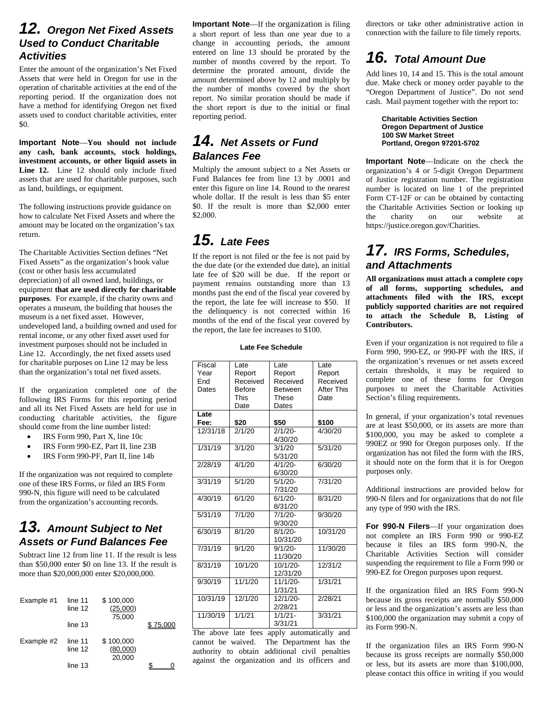### *12. Oregon Net Fixed Assets Used to Conduct Charitable Activities*

Enter the amount of the organization's Net Fixed Assets that were held in Oregon for use in the operation of charitable activities at the end of the reporting period. If the organization does not have a method for identifying Oregon net fixed assets used to conduct charitable activities, enter \$0.

**Important Note**—**You should not include any cash, bank accounts, stock holdings, investment accounts, or other liquid assets in Line 12.** Line 12 should only include fixed assets that are used for charitable purposes, such as land, buildings, or equipment.

The following instructions provide guidance on how to calculate Net Fixed Assets and where the amount may be located on the organization's tax return.

The Charitable Activities Section defines "Net Fixed Assets" as the organization's book value (cost or other basis less accumulated depreciation) of all owned land, buildings, or equipment **that are used directly for charitable purposes**. For example, if the charity owns and operates a museum, the building that houses the museum is a net fixed asset. However, undeveloped land, a building owned and used for rental income, or any other fixed asset used for investment purposes should not be included in Line 12. Accordingly, the net fixed assets used for charitable purposes on Line 12 may be less than the organization's total net fixed assets.

If the organization completed one of the following IRS Forms for this reporting period and all its Net Fixed Assets are held for use in conducting charitable activities, the figure should come from the line number listed:

- IRS Form 990, Part X, line 10c
- IRS Form 990-EZ, Part II, line 23B
- IRS Form 990-PF, Part II, line 14b

If the organization was not required to complete one of these IRS Forms, or filed an IRS Form 990-N, this figure will need to be calculated from the organization's accounting records.

### *13. Amount Subject to Net Assets or Fund Balances Fee*

Subtract line 12 from line 11. If the result is less than \$50,000 enter \$0 on line 13. If the result is more than \$20,000,000 enter \$20,000,000.

| Example #1 | line 11<br>line 12<br>line 13 | \$100,000<br>(25,000)<br>75,000 | \$75.000 |
|------------|-------------------------------|---------------------------------|----------|
| Example #2 | line 11<br>line 12<br>line 13 | \$100,000<br>(80,000)<br>20,000 |          |

**Important Note**—If the organization is filing a short report of less than one year due to a change in accounting periods, the amount entered on line 13 should be prorated by the number of months covered by the report. To determine the prorated amount, divide the amount determined above by 12 and multiply by the number of months covered by the short report. No similar proration should be made if the short report is due to the initial or final reporting period.

### *14. Net Assets or Fund Balances Fee*

Multiply the amount subject to a Net Assets or Fund Balances fee from line 13 by .0001 and enter this figure on line 14. Round to the nearest whole dollar. If the result is less than \$5 enter \$0. If the result is more than \$2,000 enter \$2,000.

# *15. Late Fees*

If the report is not filed or the fee is not paid by the due date (or the extended due date), an initial late fee of \$20 will be due. If the report or payment remains outstanding more than 13 months past the end of the fiscal year covered by the report, the late fee will increase to \$50. If the delinquency is not corrected within 16 months of the end of the fiscal year covered by the report, the late fee increases to \$100.

#### **Late Fee Schedule**

| Fiscal   | Late     | Late           | Late              |
|----------|----------|----------------|-------------------|
| Year     | Report   | Report         | Report            |
| Fnd      | Received | Received       | Received          |
|          |          |                |                   |
| Dates    | Before   | <b>Between</b> | <b>After This</b> |
|          | This     | These          | Date              |
|          | Date     | Dates          |                   |
| Late     |          |                |                   |
| Fee:     | \$20     | \$50           | \$100             |
| 12/31/18 | 2/1/20   | $2/1/20 -$     | 4/30/20           |
|          |          | 4/30/20        |                   |
| 1/31/19  | 3/1/20   | 3/1/20         | 5/31/20           |
|          |          | 5/31/20        |                   |
| 2/28/19  | 4/1/20   | $4/1/20 -$     | 6/30/20           |
|          |          | 6/30/20        |                   |
| 3/31/19  | 5/1/20   | $5/1/20 -$     | 7/31/20           |
|          |          | 7/31/20        |                   |
| 4/30/19  | 6/1/20   | $6/1/20 -$     | 8/31/20           |
|          |          | 8/31/20        |                   |
| 5/31/19  | 7/1/20   | $7/1/20 -$     | 9/30/20           |
|          |          | 9/30/20        |                   |
| 6/30/19  | 8/1/20   | $8/1/20 -$     | 10/31/20          |
|          |          |                |                   |
|          |          | 10/31/20       |                   |
| 7/31/19  | 9/1/20   | $9/1/20 -$     | 11/30/20          |
|          |          | 11/30/20       |                   |
| 8/31/19  | 10/1/20  | $10/1/20 -$    | 12/31/2           |
|          |          | 12/31/20       |                   |
| 9/30/19  | 11/1/20  | 11/1/20-       | 1/31/21           |
|          |          | 1/31/21        |                   |
| 10/31/19 | 12/1/20  | $12/1/20 -$    | 2/28/21           |
|          |          | 2/28/21        |                   |
| 11/30/19 | 1/1/21   | $1/1/21 -$     | 3/31/21           |
|          |          | 3/31/21        |                   |

The above late fees apply automatically and cannot be waived. The Department has the authority to obtain additional civil penalties against the organization and its officers and directors or take other administrative action in connection with the failure to file timely reports.

# *16. Total Amount Due*

Add lines 10, 14 and 15. This is the total amount due. Make check or money order payable to the "Oregon Department of Justice". Do not send cash. Mail payment together with the report to:

> **Charitable Activities Section Oregon Department of Justice 100 SW Market Street Portland, Oregon 97201-5702**

**Important Note**—Indicate on the check the organization's 4 or 5-digit Oregon Department of Justice registration number. The registration number is located on line 1 of the preprinted Form CT-12F or can be obtained by contacting the Charitable Activities Section or looking up the charity on our website at https://justice.oregon.gov/Charities.

### *17. IRS Forms, Schedules, and Attachments*

**All organizations must attach a complete copy of all forms, supporting schedules, and attachments filed with the IRS, except publicly supported charities are not required to attach the Schedule B, Listing of Contributors.**

Even if your organization is not required to file a Form 990, 990-EZ, or 990-PF with the IRS, if the organization's revenues or net assets exceed certain thresholds, it may be required to complete one of these forms for Oregon purposes to meet the Charitable Activities Section's filing requirements.

In general, if your organization's total revenues are at least \$50,000, or its assets are more than \$100,000, you may be asked to complete a 990EZ or 990 for Oregon purposes only. If the organization has not filed the form with the IRS, it should note on the form that it is for Oregon purposes only.

Additional instructions are provided below for 990-N filers and for organizations that do not file any type of 990 with the IRS.

**For 990-N Filers**—If your organization does not complete an IRS Form 990 or 990-EZ because it files an IRS form 990-N, the Charitable Activities Section will consider suspending the requirement to file a Form 990 or 990-EZ for Oregon purposes upon request.

If the organization filed an IRS Form 990-N because its gross receipts are normally \$50,000 or less and the organization's assets are less than \$100,000 the organization may submit a copy of its Form 990-N.

If the organization files an IRS Form 990-N because its gross receipts are normally \$50,000 or less, but its assets are more than \$100,000, please contact this office in writing if you would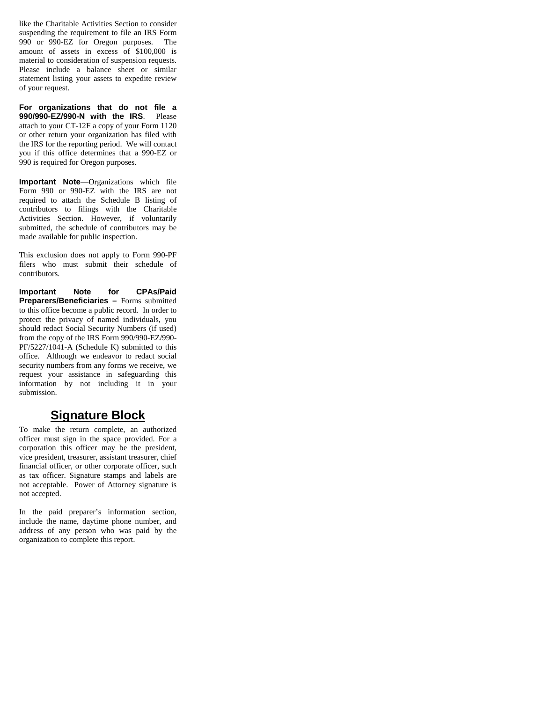like the Charitable Activities Section to consider suspending the requirement to file an IRS Form 990 or 990-EZ for Oregon purposes. The amount of assets in excess of \$100,000 is material to consideration of suspension requests. Please include a balance sheet or similar statement listing your assets to expedite review of your request.

**For organizations that do not file a 990/990-EZ/990-N with the IRS**. Please attach to your CT-12F a copy of your Form 1120 or other return your organization has filed with the IRS for the reporting period. We will contact you if this office determines that a 990-EZ or 990 is required for Oregon purposes.

**Important Note**—Organizations which file Form 990 or 990-EZ with the IRS are not required to attach the Schedule B listing of contributors to filings with the Charitable Activities Section. However, if voluntarily submitted, the schedule of contributors may be made available for public inspection.

This exclusion does not apply to Form 990-PF filers who must submit their schedule of contributors.

**Important Note for CPAs/Paid Preparers/Beneficiaries –** Forms submitted to this office become a public record. In order to protect the privacy of named individuals, you should redact Social Security Numbers (if used) from the copy of the IRS Form 990/990-EZ/990- PF/5227/1041-A (Schedule K) submitted to this office. Although we endeavor to redact social security numbers from any forms we receive, we request your assistance in safeguarding this information by not including it in your submission.

#### **Signature Block**

To make the return complete, an authorized officer must sign in the space provided. For a corporation this officer may be the president, vice president, treasurer, assistant treasurer, chief financial officer, or other corporate officer, such as tax officer. Signature stamps and labels are not acceptable. Power of Attorney signature is not accepted.

In the paid preparer's information section, include the name, daytime phone number, and address of any person who was paid by the organization to complete this report.